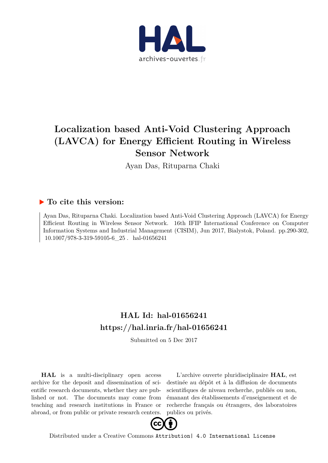

# **Localization based Anti-Void Clustering Approach (LAVCA) for Energy Efficient Routing in Wireless Sensor Network**

Ayan Das, Rituparna Chaki

## **To cite this version:**

Ayan Das, Rituparna Chaki. Localization based Anti-Void Clustering Approach (LAVCA) for Energy Efficient Routing in Wireless Sensor Network. 16th IFIP International Conference on Computer Information Systems and Industrial Management (CISIM), Jun 2017, Bialystok, Poland. pp.290-302,  $10.1007/978-3-319-59105-6$  25 hal-01656241

# **HAL Id: hal-01656241 <https://hal.inria.fr/hal-01656241>**

Submitted on 5 Dec 2017

**HAL** is a multi-disciplinary open access archive for the deposit and dissemination of scientific research documents, whether they are published or not. The documents may come from teaching and research institutions in France or abroad, or from public or private research centers.

L'archive ouverte pluridisciplinaire **HAL**, est destinée au dépôt et à la diffusion de documents scientifiques de niveau recherche, publiés ou non, émanant des établissements d'enseignement et de recherche français ou étrangers, des laboratoires publics ou privés.



Distributed under a Creative Commons [Attribution| 4.0 International License](http://creativecommons.org/licenses/by/4.0/)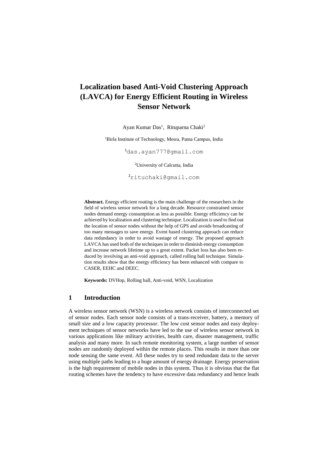## **Localization based Anti-Void Clustering Approach (LAVCA) for Energy Efficient Routing in Wireless Sensor Network**

Ayan Kumar Das<sup>1</sup>, Rituparna Chaki<sup>2</sup>

<sup>1</sup>Birla Institute of Technology, Mesra, Patna Campus, India

<sup>1</sup>[das.ayan777@gmail.com](mailto:das.ayan777@gmail.com)

<sup>2</sup>University of Calcutta, India

<sup>2</sup>[rituchaki@gmail.com](mailto:rituchaki@gmail.com)

**Abstract.** Energy efficient routing is the main challenge of the researchers in the field of wireless sensor network for a long decade. Resource constrained sensor nodes demand energy consumption as less as possible. Energy efficiency can be achieved by localization and clustering technique. Localization is used to find out the location of sensor nodes without the help of GPS and avoids broadcasting of too many messages to save energy. Event based clustering approach can reduce data redundancy in order to avoid wastage of energy. The proposed approach LAVCA has used both of the techniques in order to diminish energy consumption and increase network lifetime up to a great extent. Packet loss has also been reduced by involving an anti-void approach, called rolling ball technique. Simulation results show that the energy efficiency has been enhanced with compare to CASER, EEHC and DEEC.

**Keywords:** DVHop, Rolling ball, Anti-void, WSN, Localization

## **1 Introduction**

A wireless sensor network (WSN) is a wireless network consists of interconnected set of sensor nodes. Each sensor node consists of a trans-receiver, battery, a memory of small size and a low capacity processor. The low cost sensor nodes and easy deployment techniques of sensor networks have led to the use of wireless sensor network in various applications like military activities, health care, disaster management, traffic analysis and many more. In such remote monitoring system, a large number of sensor nodes are randomly deployed within the remote places. This results in more than one node sensing the same event. All these nodes try to send redundant data to the server using multiple paths leading to a huge amount of energy drainage. Energy preservation is the high requirement of mobile nodes in this system. Thus it is obvious that the flat routing schemes have the tendency to have excessive data redundancy and hence leads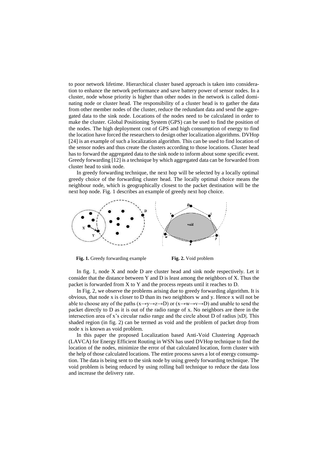to poor network lifetime. Hierarchical cluster based approach is taken into consideration to enhance the network performance and save battery power of sensor nodes. In a cluster, node whose priority is higher than other nodes in the network is called dominating node or cluster head. The responsibility of a cluster head is to gather the data from other member nodes of the cluster, reduce the redundant data and send the aggregated data to the sink node. Locations of the nodes need to be calculated in order to make the cluster. Global Positioning System (GPS) can be used to find the position of the nodes. The high deployment cost of GPS and high consumption of energy to find the location have forced the researchers to design other localization algorithms. DVHop [24] is an example of such a localization algorithm. This can be used to find location of the sensor nodes and thus create the clusters according to those locations. Cluster head has to forward the aggregated data to the sink node to inform about some specific event. Greedy forwarding [12] is a technique by which aggregated data can be forwarded from cluster head to sink node.

In greedy forwarding technique, the next hop will be selected by a locally optimal greedy choice of the forwarding cluster head. The locally optimal choice means the neighbour node, which is geographically closest to the packet destination will be the next hop node. Fig. 1 describes an example of greedy next hop choice.



 **Fig. 1.** Greedy forwarding example **Fig. 2.** Void problem

In fig. 1, node X and node D are cluster head and sink node respectively. Let it consider that the distance between Y and D is least among the neighbors of X. Thus the packet is forwarded from X to Y and the process repeats until it reaches to D.

In Fig. 2, we observe the problems arising due to greedy forwarding algorithm. It is obvious, that node x is closer to D than its two neighbors w and y. Hence x will not be able to choose any of the paths  $(x \rightarrow y \rightarrow z \rightarrow D)$  or  $(x \rightarrow w \rightarrow v \rightarrow D)$  and unable to send the packet directly to D as it is out of the radio range of x. No neighbors are there in the intersection area of x's circular radio range and the circle about D of radius |xD|. This shaded region (in fig. 2) can be termed as void and the problem of packet drop from node x is known as void problem.

In this paper the proposed Localization based Anti-Void Clustering Approach (LAVCA) for Energy Efficient Routing in WSN has used DVHop technique to find the location of the nodes, minimize the error of that calculated location, form cluster with the help of those calculated locations. The entire process saves a lot of energy consumption. The data is being sent to the sink node by using greedy forwarding technique. The void problem is being reduced by using rolling ball technique to reduce the data loss and increase the delivery rate.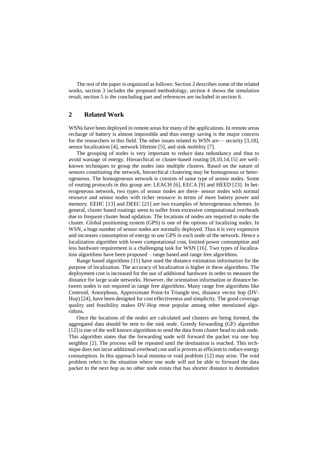The rest of the paper is organized as follows: Section 2 describes some of the related works, section 3 includes the proposed methodology, section 4 shows the simulation result, section 5 is the concluding part and references are included in section 6.

## **2 Related Work**

WSNs have been deployed in remote areas for many of the applications. In remote areas recharge of battery is almost impossible and thus energy saving is the major concern for the researchers in this field. The other issues related to WSN are— security [3,18], sensor localization [4], network lifetime [5], and sink mobility [7].

The grouping of nodes is very important to reduce data redundancy and thus to avoid wastage of energy. Hierarchical or cluster-based routing [8,10,14,15] are wellknown techniques to group the nodes into multiple clusters. Based on the nature of sensors constituting the network, hierarchical clustering may be homogenous or heterogeneous. The homogeneous network is consists of same type of sensor nodes. Some of routing protocols in this group are: LEACH [6], EECA [9] and HEED [23]. In heterogeneous network, two types of sensor nodes are there- sensor nodes with normal resource and sensor nodes with richer resource in terms of more battery power and memory. EEHC [13] and DEEC [21] are two examples of heterogeneous schemes. In general, cluster based routings seem to suffer from excessive computational overheads due to frequent cluster head updation. The locations of nodes are required to make the cluster. Global positioning system (GPS) is one of the options of localizing nodes. In WSN, a huge number of sensor nodes are normally deployed. Thus it is very expensive and increases consumption of energy to use GPS in each node of the network. Hence a localization algorithm with lower computational cost, limited power consumption and less hardware requirement is a challenging task for WSN [16]. Two types of localization algorithms have been proposed – range based and range free algorithms.

Range based algorithms [11] have used the distance estimation information for the purpose of localization. The accuracy of localization is higher in these algorithms. The deployment cost is increased for the use of additional hardware in order to measure the distance for large scale networks. However, the orientation information or distance between nodes is not required in range free algorithms. Many range free algorithms like Centroid, Amorphous, Approximate Point-In Triangle test, distance vector hop (DV-Hop) [24], have been designed for cost effectiveness and simplicity. The good coverage quality and feasibility makes DV-Hop most popular among other mentioned algorithms.

Once the locations of the nodes are calculated and clusters are being formed, the aggregated data should be sent to the sink node. Greedy forwarding (GF) algorithm [12] is one of the well known algorithms to send the data from cluster head to sink node. This algorithm states that the forwarding node will forward the packet via one hop neighbor [2]. The process will be repeated until the destination is reached. This technique does not incur additional overhead cost and is proven as efficient to reduce energy consumption. In this approach local minima or void problem [12] may arise. The void problem refers to the situation where one node will not be able to forward the data packet to the next hop as no other node exists that has shorter distance to destination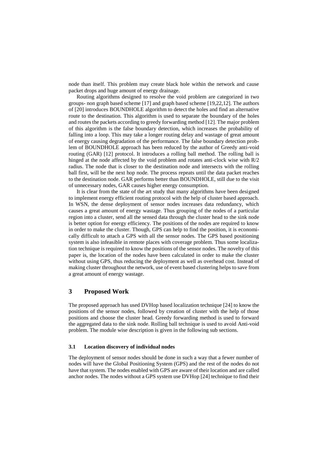node than itself. This problem may create black hole within the network and cause packet drops and huge amount of energy drainage.

Routing algorithms designed to resolve the void problem are categorized in two groups- non graph based scheme [17] and graph based scheme [19,22,12]. The authors of [20] introduces BOUNDHOLE algorithm to detect the holes and find an alternative route to the destination. This algorithm is used to separate the boundary of the holes and routes the packets according to greedy forwarding method [12]. The major problem of this algorithm is the false boundary detection, which increases the probability of falling into a loop. This may take a longer routing delay and wastage of great amount of energy causing degradation of the performance. The false boundary detection problem of BOUNDHOLE approach has been reduced by the author of Greedy anti-void routing (GAR) [12] protocol. It introduces a rolling ball method. The rolling ball is hinged at the node affected by the void problem and rotates anti-clock wise with R/2 radius. The node that is closer to the destination node and intersects with the rolling ball first, will be the next hop node. The process repeats until the data packet reaches to the destination node. GAR performs better than BOUNDHOLE, still due to the visit of unnecessary nodes, GAR causes higher energy consumption.

It is clear from the state of the art study that many algorithms have been designed to implement energy efficient routing protocol with the help of cluster based approach. In WSN, the dense deployment of sensor nodes increases data redundancy, which causes a great amount of energy wastage. Thus grouping of the nodes of a particular region into a cluster, send all the sensed data through the cluster head to the sink node is better option for energy efficiency. The positions of the nodes are required to know in order to make the cluster. Though, GPS can help to find the position, it is economically difficult to attach a GPS with all the sensor nodes. The GPS based positioning system is also infeasible in remote places with coverage problem. Thus some localization technique is required to know the positions of the sensor nodes. The novelty of this paper is, the location of the nodes have been calculated in order to make the cluster without using GPS, thus reducing the deployment as well as overhead cost. Instead of making cluster throughout the network, use of event based clustering helps to save from a great amount of energy wastage.

## **3 Proposed Work**

The proposed approach has used DVHop based localization technique [24] to know the positions of the sensor nodes, followed by creation of cluster with the help of those positions and choose the cluster head. Greedy forwarding method is used to forward the aggregated data to the sink node. Rolling ball technique is used to avoid Anti-void problem. The module wise description is given in the following sub sections.

#### **3.1 Location discovery of individual nodes**

The deployment of sensor nodes should be done in such a way that a fewer number of nodes will have the Global Positioning System (GPS) and the rest of the nodes do not have that system. The nodes enabled with GPS are aware of their location and are called anchor nodes. The nodes without a GPS system use DVHop [24] technique to find their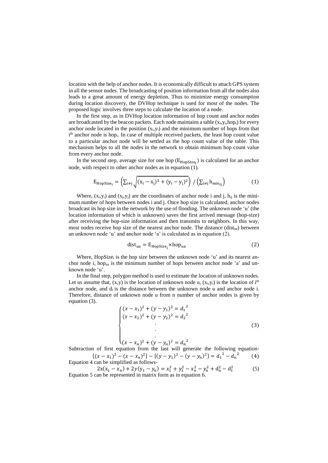location with the help of anchor nodes. It is economically difficult to attach GPS system in all the sensor nodes. The broadcasting of position information from all the nodes also leads to a great amount of energy depletion. Thus to minimize energy consumption during location discovery, the DVHop technique is used for most of the nodes. The proposed logic involves three steps to calculate the location of a node.

In the first step, as in DVHop location information of hop count and anchor nodes are broadcasted by the beacon packets. Each node maintains a table  $(x_i, y_i, hop_i)$  for every anchor node located in the position  $(x_i, y_i)$  and the minimum number of hops from that i<sup>th</sup> anchor node is hop<sub>i</sub>. In case of multiple received packets, the least hop count value to a particular anchor node will be settled as the hop count value of the table. This mechanism helps to all the nodes in the network to obtain minimum hop count value from every anchor node.

In the second step, average size for one hop  $(E_{HopSize_1})$  is calculated for an anchor node, with respect to other anchor nodes as in equation (1).

$$
E_{\text{HopSize}_i} = \left(\sum_{i \neq j} \sqrt{(x_i - x_j)^2 + (y_i - y_j)^2}\right) / \left(\sum_{i \neq j} h_{\min_{ij}}\right)
$$
 (1)

Where,  $(x_i, y_i)$  and  $(x_i, y_i)$  are the coordinates of anchor node i and j,  $h_{ii}$  is the minimum number of hops between nodes i and j. Once hop size is calculated, anchor nodes broadcast its hop size in the network by the use of flooding. The unknown node 'u' (the location information of which is unknown) saves the first arrived message (hop-size) after receiving the hop-size information and then transmits to neighbors. In this way, most nodes receive hop size of the nearest anchor node. The distance (distua) between an unknown node 'u' and anchor node 'a' is calculated as in equation (2).

$$
dist_{ua} = E_{HopSize_i} \times hop_{ua}
$$
 (2)

Where, HopSize<sub>i</sub> is the hop size between the unknown node 'u' and its nearest anchor node i, hop<sub>ua</sub> is the minimum number of hops between anchor node 'a' and unknown node 'u'.

In the final step, polygon method is used to estimate the location of unknown nodes. Let us assume that,  $(x,y)$  is the location of unknown node u,  $(x_i,y_i)$  is the location of i<sup>th</sup> anchor node, and  $d_i$  is the distance between the unknown node u and anchor node i. Therefore, distance of unknown node u from n number of anchor nodes is given by equation (3).

$$
\begin{cases}\n(x - x_1)^2 + (y - y_1)^2 = d_1^2 \\
(x - x_2)^2 + (y - y_2)^2 = d_2^2\n\end{cases}
$$
\n(3)

 $\overline{\mathcal{L}}$  $(x - x_n)^2 + (y - y_n)^2 = d_n^2$ 

Subtraction of first equation from the last will generate the following equation-  $\{(x - x_1)^2 - (x - x_n)^2\} - \{(y - y_1)^2 - (y - y_n)^2\} = d_1^2 - d_n^2$ (4) Equation 4 can be simplified as follows-

$$
2x(x_1 - x_n) + 2y(y_1 - y_n) = x_1^2 + y_1^2 - x_n^2 - y_n^2 + d_n^2 - d_1^2
$$
 (5)  
Equation 5 can be represented in matrix form as in equation 6.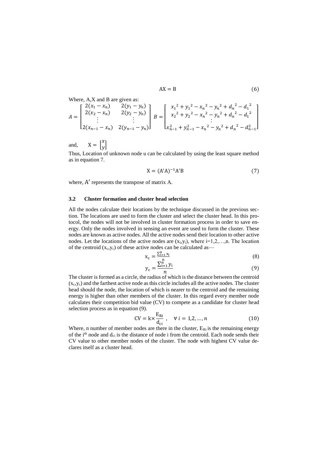$$
AX = B \tag{6}
$$

Where, A,X and B are given as:

$$
A = \begin{bmatrix} 2(x_1 - x_n) & 2(y_1 - y_n) \\ 2(x_2 - x_n) & 2(y_2 - y_n) \\ \vdots & \vdots \\ 2(x_{n-1} - x_n) & 2(y_{n-1} - y_n) \end{bmatrix} B = \begin{bmatrix} x_1^2 + y_1^2 - x_n^2 - y_n^2 + d_n^2 - d_1^2 \\ x_2^2 + y_2^2 - x_n^2 - y_n^2 + d_n^2 - d_1^2 \\ x_{n-1}^2 + y_{n-1}^2 - x_n^2 - y_n^2 + d_n^2 - d_{n-1}^2 \end{bmatrix}
$$

and,  $X = \begin{bmatrix} x \\ y \end{bmatrix}$  $\int y$ 

Thus, Location of unknown node u can be calculated by using the least square method as in equation 7.

$$
X = (A'A)^{-1}A'B
$$
 (7)

where, A' represents the transpose of matrix A.

#### **3.2 Cluster formation and cluster head selection**

All the nodes calculate their locations by the technique discussed in the previous section. The locations are used to form the cluster and select the cluster head. In this protocol, the nodes will not be involved in cluster formation process in order to save energy. Only the nodes involved in sensing an event are used to form the cluster. These nodes are known as active nodes. All the active nodes send their location to other active nodes. Let the locations of the active nodes are  $(x_i, y_i)$ , where  $i=1,2,...,n$ . The location of the centroid  $(x_c, y_c)$  of these active nodes can be calculated as—

$$
X_c = \frac{\sum_{i=1}^{n} x_i}{n} \tag{8}
$$

$$
y_c = \frac{\sum_{i=1}^{n} y_i}{n}
$$
 (9)

The cluster is formed as a circle, the radius of which is the distance between the centroid  $(x_c,y_c)$  and the farthest active node as this circle includes all the active nodes. The cluster head should the node, the location of which is nearer to the centroid and the remaining energy is higher than other members of the cluster. In this regard every member node calculates their competition bid value (CV) to compete as a candidate for cluster head selection process as in equation (9).

$$
CV = k \times \frac{E_{Ri}}{d_{ci}} , \quad \forall i = 1, 2, ..., n
$$
 (10)

Where, n number of member nodes are there in the cluster,  $E_{\text{Ri}}$  is the remaining energy of the i<sup>th</sup> node and  $d_{ci}$  is the distance of node i from the centroid. Each node sends their CV value to other member nodes of the cluster. The node with highest CV value declares itself as a cluster head.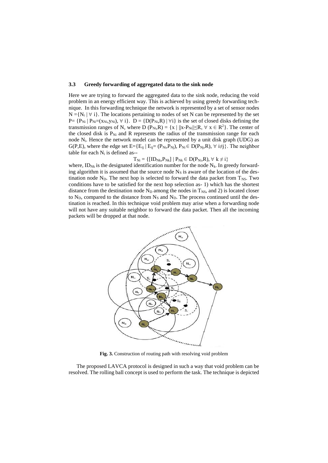#### **3.3 Greedy forwarding of aggregated data to the sink node**

Here we are trying to forward the aggregated data to the sink node, reducing the void problem in an energy efficient way. This is achieved by using greedy forwarding technique. In this forwarding technique the network is represented by a set of sensor nodes  $N = \{N_i \mid \forall i\}$ . The locations pertaining to nodes of set N can be represented by the set  $P = {P_{Ni} | P_{Ni} = (x_{Ni}, y_{Ni}), \forall i}.$  D = {D(P<sub>Ni</sub>,R) |  $\forall i$ } is the set of closed disks defining the transmission ranges of N, where D ( $P_{Ni}R$ ) = {x | ||x- $P_{Ni}$ ||≤R,  $\forall$  x  $\in$  R<sup>2</sup>}. The center of the closed disk is  $P_{Ni}$  and R represents the radius of the transmission range for each node Ni. Hence the network model can be represented by a unit disk graph (UDG) as G(P,E), where the edge set  $E=[E_{ij} | E_{ij}=(P_{Ni},P_{Ni})$ ,  $P_{Ni} \in D(P_{Ni},R)$ ,  $\forall i \neq j$ . The neighbor table for each  $N_i$  is defined as--

## $T_{Ni} = \{[ID_{Nk}, P_{Nk}] \mid P_{Nk} \in D(P_{Ni}, R), \forall k \neq i\}$

where,  $ID_{Nk}$  is the designated identification number for the node  $N_k$ . In greedy forwarding algorithm it is assumed that the source node  $N<sub>S</sub>$  is aware of the location of the destination node  $N_D$ . The next hop is selected to forward the data packet from  $T_{NS}$ . Two conditions have to be satisfied for the next hop selection as- 1) which has the shortest distance from the destination node  $N_D$  among the nodes in  $T_{NS}$ , and 2) is located closer to  $N_D$ , compared to the distance from  $N_S$  and  $N_D$ . The process continued until the destination is reached. In this technique void problem may arise when a forwarding node will not have any suitable neighbor to forward the data packet. Then all the incoming packets will be dropped at that node.



**Fig. 3.** Construction of routing path with resolving void problem

The proposed LAVCA protocol is designed in such a way that void problem can be resolved. The rolling ball concept is used to perform the task. The technique is depicted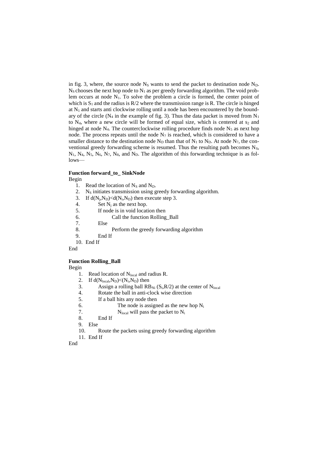in fig. 3, where, the source node  $N_S$  wants to send the packet to destination node  $N_D$ .  $N<sub>S</sub>$  chooses the next hop node to  $N<sub>1</sub>$  as per greedy forwarding algorithm. The void problem occurs at node  $N_1$ . To solve the problem a circle is formed, the center point of which is  $S_1$  and the radius is  $R/2$  where the transmission range is R. The circle is hinged at  $N_1$  and starts anti clockwise rolling until a node has been encountered by the boundary of the circle ( $N_4$  in the example of fig. 3). Thus the data packet is moved from  $N_1$ to  $N_4$ , where a new circle will be formed of equal size, which is centered at  $s_2$  and hinged at node  $N_4$ . The counterclockwise rolling procedure finds node  $N_5$  as next hop node. The process repeats until the node  $N_7$  is reached, which is considered to have a smaller distance to the destination node  $N_D$  than that of  $N_I$  to  $N_D$ . At node  $N_7$ , the conventional greedy forwarding scheme is resumed. Thus the resulting path becomes  $N<sub>S</sub>$ ,  $N_1$ ,  $N_4$ ,  $N_5$ ,  $N_6$ ,  $N_7$ ,  $N_8$ , and  $N_D$ . The algorithm of this forwarding technique is as follows—

#### **Function forward\_to\_ SinkNode**

#### Begin

- 1. Read the location of  $N<sub>S</sub>$  and  $N<sub>D</sub>$ .
- 2.  $N<sub>S</sub>$  initiates transmission using greedy forwarding algorithm.
- 3. If  $d(N_i, N_D) < d(N_i, N_D)$  then execute step 3.
- 4. Set  $N_j$  as the next hop.<br>5. If node is in void locat
- If node is in void location then
- 6. Call the function Rolling\_Ball
- 7. Else
- 8. Perform the greedy forwarding algorithm
- 9. End If
- 10. End If

End

### **Function Rolling\_Ball**

Begin

- 1. Read location of Nlocal and radius R.
- 2. If  $d(N_{local}, N_D) < (N_i, N_D)$  then
- 3. Assign a rolling ball  $RB_{Ni}$  (S<sub>i</sub>,R/2) at the center of N<sub>local</sub>
- 4. Rotate the ball in anti-clock wise direction
- 5. If a ball hits any node then
- 6. The node is assigned as the new hop  $N_i$
- 7.  $N_{local}$  will pass the packet to  $N_i$
- 8. End If
- 9. Else
- 10. Route the packets using greedy forwarding algorithm

11. End If

End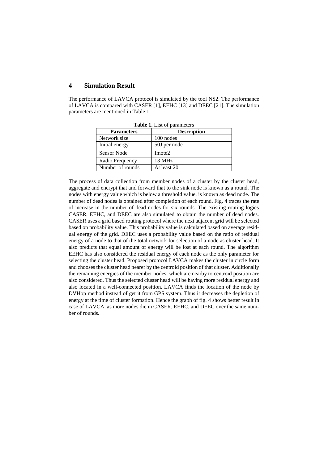## **4 Simulation Result**

The performance of LAVCA protocol is simulated by the tool NS2. The performance of LAVCA is compared with CASER [1], EEHC [13] and DEEC [21]. The simulation parameters are mentioned in Table 1.

| <b>rable 1.</b> List of parameters |                    |
|------------------------------------|--------------------|
| <b>Parameters</b>                  | <b>Description</b> |
| Network size                       | 100 nodes          |
| Initial energy                     | 50J per node       |
| <b>Sensor Node</b>                 | Imote <sub>2</sub> |
| Radio Frequency                    | 13 MHz             |
| Number of rounds                   | At least 20        |

**Table 1.** List of parameters

The process of data collection from member nodes of a cluster by the cluster head, aggregate and encrypt that and forward that to the sink node is known as a round. The nodes with energy value which is below a threshold value, is known as dead node. The number of dead nodes is obtained after completion of each round. Fig. 4 traces the rate of increase in the number of dead nodes for six rounds. The existing routing logics CASER, EEHC, and DEEC are also simulated to obtain the number of dead nodes. CASER uses a grid based routing protocol where the next adjacent grid will be selected based on probability value. This probability value is calculated based on average residual energy of the grid. DEEC uses a probability value based on the ratio of residual energy of a node to that of the total network for selection of a node as cluster head. It also predicts that equal amount of energy will be lost at each round. The algorithm EEHC has also considered the residual energy of each node as the only parameter for selecting the cluster head. Proposed protocol LAVCA makes the cluster in circle form and chooses the cluster head nearer by the centroid position of that cluster. Additionally the remaining energies of the member nodes, which are nearby to centroid position are also considered. Thus the selected cluster head will be having more residual energy and also located in a well-connected position. LAVCA finds the location of the node by DVHop method instead of get it from GPS system. Thus it decreases the depletion of energy at the time of cluster formation. Hence the graph of fig. 4 shows better result in case of LAVCA, as more nodes die in CASER, EEHC, and DEEC over the same number of rounds.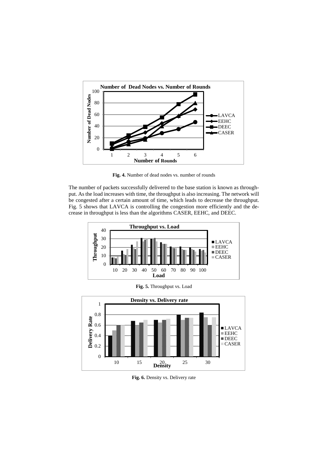

**Fig. 4.** Number of dead nodes vs. number of rounds

The number of packets successfully delivered to the base station is known as throughput. As the load increases with time, the throughput is also increasing. The network will be congested after a certain amount of time, which leads to decrease the throughput. Fig. 5 shows that LAVCA is controlling the congestion more efficiently and the decrease in throughput is less than the algorithms CASER, EEHC, and DEEC.



**Fig. 5.** Throughput vs. Load



**Fig. 6.** Density vs. Delivery rate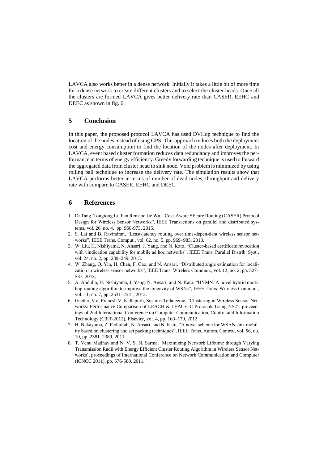LAVCA also works better in a dense network. Initially it takes a little bit of more time for a dense network to create different clusters and to select the cluster heads. Once all the clusters are formed LAVCA gives better delivery rate than CASER, EEHC and DEEC as shown in fig. 6.

## **5 Conclusion**

In this paper, the proposed protocol LAVCA has used DVHop technique to find the location of the nodes instead of using GPS. This approach reduces both the deployment cost and energy consumption to find the location of the nodes after deployment. In LAVCA, event based cluster formation reduces data redundancy and improves the performance in terms of energy efficiency. Greedy forwarding technique is used to forward the aggregated data from cluster head to sink node. Void problem is minimized by using rolling ball technique to increase the delivery rate. The simulation results show that LAVCA performs better in terms of number of dead nodes, throughput and delivery rate with compare to CASER, EEHC and DEEC.

## **6 References**

- 1. Di Tang, Tongtong Li, Jian Ren and Jie Wu, "Cost-Aware SEcure Routing (CASER) Protocol Design for Wireless Sensor Networks", IEEE Transactions on parallel and distributed systems, vol. 26, no. 4, pp. 960-973, 2015.
- 2. S. Lai and B. Ravindran, "Least-latency routing over time-depen-dent wireless sensor networks", IEEE Trans. Comput., vol. 62, no. 5, pp. 969–983, 2013.
- 3. W. Liu, H. Nishiyama, N. Ansari, J. Yang, and N. Kato, "Cluster-based certificate revocation with vindication capability for mobile ad hoc networks", IEEE Trans. Parallel Distrib. Syst., vol. 24, no. 2, pp. 239–249, 2013.
- 4. W. Zhang, Q. Yin, H. Chen, F. Gao, and N. Ansari, "Distributed angle estimation for localization in wireless sensor networks", IEEE Trans. Wireless Commun., vol. 12, no. 2, pp. 527– 537, 2013.
- 5. A. Abdulla, H. Nishiyama, J. Yang, N. Ansari, and N. Kato, "HYMN: A novel hybrid multihop routing algorithm to improve the longevity of WSNs", IEEE Trans. Wireless Commun., vol. 11, no. 7, pp. 2531–2541, 2012.
- 6. Geetha. V.a, Pranesh.V. Kallapurb, Sushma Tellajeerac, "Clustering in Wireless Sensor Networks: Performance Comparison of LEACH & LEACH-C Protocols Using NS2", proceedings of 2nd International Conference on Computer Communication, Control and Information Technology (C3IT-2012), Elsevier, vol. 4, pp. 163–170, 2012.
- 7. H. Nakayama, Z. Fadlullah, N. Ansari, and N. Kato, "A novel scheme for WSAN sink mobility based on clustering and set packing techniques", IEEE Trans. Autom. Control, vol. 56, no. 10, pp. 2381–2389, 2011.
- 8. T. Venu Madhav and N. V. S. N. Sarma, 'Maximizing Network Lifetime through Varying Transmission Radii with Energy Efficient Cluster Routing Algorithm in Wireless Sensor Networks', proceedings of International Conference on Network Communication and Computer (ICNCC 2011), pp. 576-580, 2011.